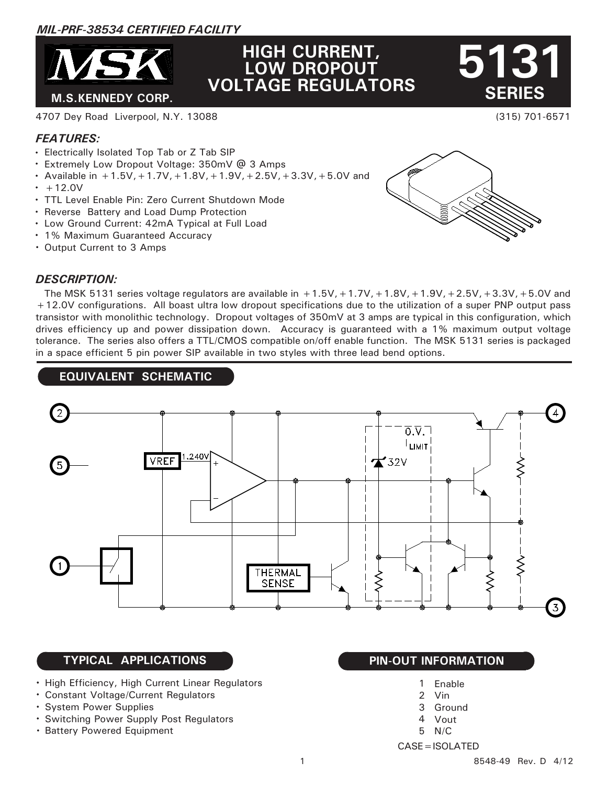# *MIL-PRF-38534 CERTIFIED FACILITY*



# **HIGH CURRENT, LOW DROPOUT VOLTAGE REGULATORS**

(315) 701-6571  **SERIES**

**5131**

#### 4707 Dey Road Liverpool, N.Y. 13088

# *FEATURES:*

- Electrically Isolated Top Tab or Z Tab SIP
- Extremely Low Dropout Voltage: 350mV @ 3 Amps
- Available in  $+1.5V$ ,  $+1.7V$ ,  $+1.8V$ ,  $+1.9V$ ,  $+2.5V$ ,  $+3.3V$ ,  $+5.0V$  and  $+12.0V$
- TTL Level Enable Pin: Zero Current Shutdown Mode
- Reverse Battery and Load Dump Protection
- Low Ground Current: 42mA Typical at Full Load
- 1% Maximum Guaranteed Accuracy
- Output Current to 3 Amps



#### *DESCRIPTION:*

The MSK 5131 series voltage regulators are available in  $+1.5V$ ,  $+1.7V$ ,  $+1.8V$ ,  $+1.9V$ ,  $+2.5V$ ,  $+3.3V$ ,  $+5.0V$  and +12.0V configurations. All boast ultra low dropout specifications due to the utilization of a super PNP output pass transistor with monolithic technology. Dropout voltages of 350mV at 3 amps are typical in this configuration, which drives efficiency up and power dissipation down. Accuracy is guaranteed with a 1% maximum output voltage tolerance. The series also offers a TTL/CMOS compatible on/off enable function. The MSK 5131 series is packaged in a space efficient 5 pin power SIP available in two styles with three lead bend options.

# **EQUIVALENT SCHEMATIC**



## **TYPICAL APPLICATIONS PIN-OUT INFORMATION**

- High Efficiency, High Current Linear Regulators
- Constant Voltage/Current Regulators
- System Power Supplies
- Switching Power Supply Post Regulators
- **· Battery Powered Equipment**

- Enable 1
- Vin 2
- Ground 3
- Vout 4
- N/C 5
- CASE=ISOLATED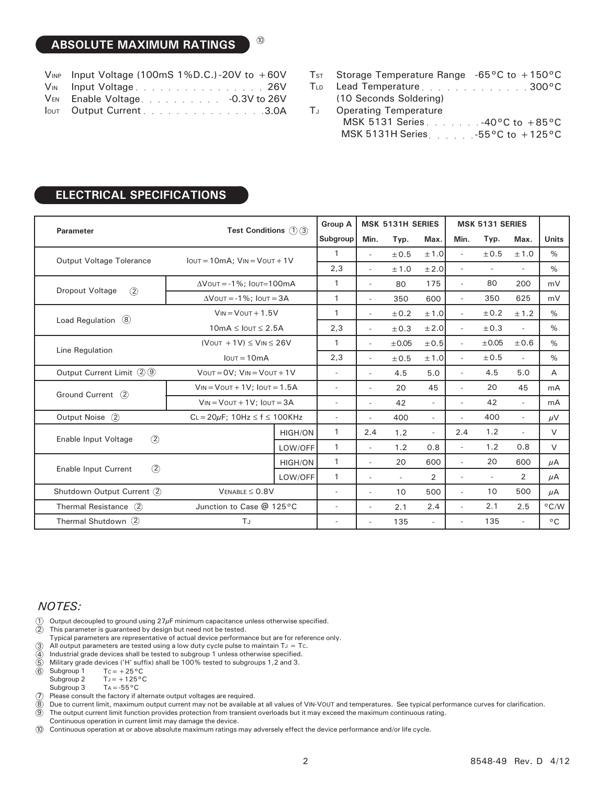# **ABSOLUTE MAXIMUM RATINGS**

| $V_{INP}$ Input Voltage (100mS 1%D.C.)-20V to +60V |
|----------------------------------------------------|
| VIN Input Voltage26V                               |
| VEN Enable Voltage. - 0.3V to 26V                  |
| <b>Output Current</b> 3.0A                         |

10

|      | $TsT$ Storage Temperature Range -65 °C to +150 °C |
|------|---------------------------------------------------|
|      | TLD Lead Temperature300°C                         |
|      | (10 Seconds Soldering)                            |
| Tu - | <b>Operating Temperature</b>                      |
|      | MSK 5131 Series 40°C to +85°C                     |
|      | MSK 5131H Series $\sim$ 55°C to +125°C            |

#### **ELECTRICAL SPECIFICATIONS**

|                                       | <b>Test Conditions</b> $(1)(3)$                   |                | <b>Group A</b>           | <b>MSK 5131H SERIES</b>  |                             | <b>MSK 5131 SERIES</b>   |                          |            |                          |                |
|---------------------------------------|---------------------------------------------------|----------------|--------------------------|--------------------------|-----------------------------|--------------------------|--------------------------|------------|--------------------------|----------------|
| <b>Parameter</b>                      |                                                   |                | Subgroup                 | Min.                     | Typ.                        | Max.                     | Min.                     | Typ.       | Max.                     | <b>Units</b>   |
| Output Voltage Tolerance              | $I$ out = 10mA; $V$ <sub>IN</sub> = $V$ out + 1V  |                | $\mathbf{1}$             | $\overline{\phantom{a}}$ | ±0.5                        | ±1.0                     | $\overline{\phantom{a}}$ | ±0.5       | ±1.0                     | $\frac{0}{0}$  |
|                                       |                                                   |                | 2,3                      | $\overline{\phantom{a}}$ | ±1.0                        | ± 2.0                    | $\sim$                   |            | ٠                        | $\%$           |
| <b>Dropout Voltage</b><br>(2)         | $\Delta$ Vout = -1%; Iout=100mA                   |                | $\mathbf{1}$             | $\overline{a}$           | 80                          | 175                      | $\sim$                   | 80         | 200                      | mV             |
|                                       | $\Delta$ VOUT = -1%; IOUT = 3A                    |                | $\mathbf{1}$             | $\overline{\phantom{a}}$ | 350                         | 600                      | $\overline{\phantom{a}}$ | 350        | 625                      | mV             |
| Load Regulation $\circledR$           | $V_{IN} = V_{OUT} + 1.5V$                         |                | 1                        | $\overline{\phantom{a}}$ | ± 0.2                       | ±1.0                     | $\overline{\phantom{a}}$ | ±0.2       | ± 1.2                    | $\%$           |
|                                       | $10mA \leq I$ OUT $\leq 2.5A$                     |                | 2,3                      | $\overline{\phantom{a}}$ | ±0.3                        | ± 2.0                    | $\sim$                   | ±0.3       | $\sim$                   | $\%$           |
| Line Regulation                       | $(V$ OUT + 1V $) \leq$ V <sub>IN</sub> $\leq$ 26V |                | $\mathbf{1}$             | $\overline{\phantom{a}}$ | $\pm 0.05$                  | ±0.5                     | $\sim$                   | $\pm 0.05$ | ±0.6                     | $\%$           |
|                                       | $I$ <sub>OUT</sub> = $10mA$                       |                | 2,3                      | $\overline{\phantom{a}}$ | ±0.5                        | ±1.0                     | $\sim$                   | ±0.5       | $\mathcal{L}$            | $\%$           |
| Output Current Limit 29               | $V$ OUT = $OV$ ; $V$ IN = $V$ OUT + 1V            |                | $\sim$                   | $\overline{a}$           | 4.5                         | 5.0                      | $\sim$                   | 4.5        | 5.0                      | A              |
| Ground Current (2)                    | $V_{IN} = V_{OUT} + 1V$ ; $I_{OUT} = 1.5A$        |                | $\overline{\phantom{0}}$ | $\overline{\phantom{a}}$ | 20                          | 45                       | $\overline{\phantom{a}}$ | 20         | 45                       | mA             |
|                                       | $V_{IN} = V_{OUT} + 1V$ ; $I_{OUT} = 3A$          |                | $\overline{\phantom{a}}$ | $\overline{\phantom{a}}$ | 42                          | $\overline{\phantom{a}}$ | $\overline{a}$           | 42         | $\overline{\phantom{a}}$ | mA             |
| Output Noise (2)                      | $CL = 20\mu F$ ; 10Hz $\leq f \leq$ 100KHz        |                | $\overline{\phantom{a}}$ | $\overline{a}$           | 400                         | $\overline{\phantom{a}}$ | $\overline{a}$           | 400        | $\overline{\phantom{a}}$ | $\mu$ V        |
| $\circled{2}$<br>Enable Input Voltage |                                                   | <b>HIGH/ON</b> | $\mathbf{1}$             | 2.4                      | 1.2                         | $\overline{\phantom{a}}$ | 2.4                      | 1.2        | $\overline{a}$           | $\vee$         |
|                                       |                                                   | LOW/OFF        | $\mathbf{1}$             | $\overline{\phantom{a}}$ | 1.2                         | 0.8                      | $\overline{\phantom{a}}$ | 1.2        | 0.8                      | $\vee$         |
| $\circled{2}$<br>Enable Input Current |                                                   | <b>HIGH/ON</b> | $\mathbf{1}$             |                          | 20                          | 600                      | $\overline{a}$           | 20         | 600                      | $\mu$ A        |
|                                       |                                                   | LOW/OFF        | $\mathbf{1}$             | $\overline{a}$           | $\mathcal{L}_{\mathcal{A}}$ | $\overline{2}$           | $\sim$                   | $\sim$     | $\overline{2}$           | μA             |
| Shutdown Output Current (2)           | $V_{ENABLE} \leq 0.8V$                            |                | $\overline{\phantom{a}}$ | $\overline{\phantom{a}}$ | 10                          | 500                      | ÷,                       | 10         | 500                      | μA             |
| Thermal Resistance (2)                | Junction to Case @ 125°C                          |                | $\overline{\phantom{a}}$ | $\overline{\phantom{a}}$ | 2.1                         | 2.4                      | $\overline{\phantom{a}}$ | 2.1        | 2.5                      | $^{\circ}$ C/W |
| Thermal Shutdown (2)                  | TJ                                                |                | $\overline{\phantom{a}}$ |                          | 135                         | $\sim$                   | $\overline{\phantom{a}}$ | 135        | $\overline{\phantom{a}}$ | $^{\circ}$ C   |

### *NOTES:*

- 1 Output decoupled to ground using  $27 \mu$ F minimum capacitance unless otherwise specified.
- 2 This parameter is guaranteed by design but need not be tested.
- Typical parameters are representative of actual device performance but are for reference only.
- 3 All output parameters are tested using a low duty cycle pulse to maintain  $T_J = Tc$ .
- 4 Industrial grade devices shall be tested to subgroup 1 unless otherwise specified.
- 5 Military grade devices ('H' suffix) shall be 100% tested to subgroups 1,2 and 3.
- 6 Subgroup 1  $Tc=+25\,^{\rm o}C$ 
	- Subgroup 2  $TJ=+125^{\circ}C$
	- Subgroup 3  $Ta = -55^{\circ}C$
- 7 Please consult the factory if alternate output voltages are required.

8 Due to current limit, maximum output current may not be available at all values of VIN-VOUT and temperatures. See typical performance curves for clarification.

9 The output current limit function provides protection from transient overloads but it may exceed the maximum continuous rating.

Continuous operation in current limit may damage the device.

10 Continuous operation at or above absolute maximum ratings may adversely effect the device performance and/or life cycle.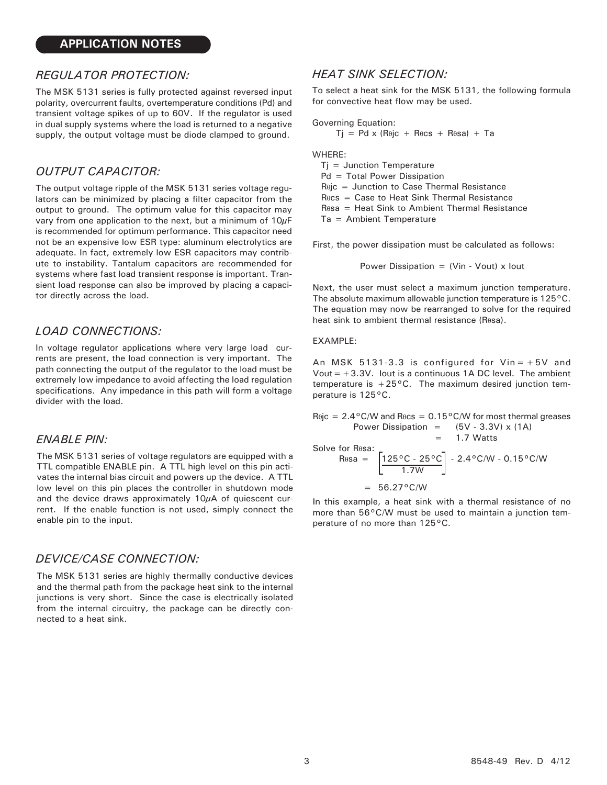#### *REGULATOR PROTECTION:*

The MSK 5131 series is fully protected against reversed input polarity, overcurrent faults, overtemperature conditions (Pd) and transient voltage spikes of up to 60V. If the regulator is used in dual supply systems where the load is returned to a negative supply, the output voltage must be diode clamped to ground.

# *OUTPUT CAPACITOR:*

The output voltage ripple of the MSK 5131 series voltage regulators can be minimized by placing a filter capacitor from the output to ground. The optimum value for this capacitor may vary from one application to the next, but a minimum of  $10\mu$ F is recommended for optimum performance. This capacitor need not be an expensive low ESR type: aluminum electrolytics are adequate. In fact, extremely low ESR capacitors may contribute to instability. Tantalum capacitors are recommended for systems where fast load transient response is important. Transient load response can also be improved by placing a capacitor directly across the load.

#### *LOAD CONNECTIONS:*

In voltage regulator applications where very large load currents are present, the load connection is very important. The path connecting the output of the regulator to the load must be extremely low impedance to avoid affecting the load regulation specifications. Any impedance in this path will form a voltage divider with the load.

#### *ENABLE PIN:*

The MSK 5131 series of voltage regulators are equipped with a TTL compatible ENABLE pin. A TTL high level on this pin activates the internal bias circuit and powers up the device. A TTL low level on this pin places the controller in shutdown mode and the device draws approximately 10μA of quiescent current. If the enable function is not used, simply connect the enable pin to the input.

#### *DEVICE/CASE CONNECTION:*

The MSK 5131 series are highly thermally conductive devices and the thermal path from the package heat sink to the internal junctions is very short. Since the case is electrically isolated from the internal circuitry, the package can be directly connected to a heat sink.

#### *HEAT SINK SELECTION:*

To select a heat sink for the MSK 5131, the following formula for convective heat flow may be used.

Governing Equation:

$$
Tj = Pd \times (R\theta jc + R\theta cs + R\theta sa) + Ta
$$

WHERE:

 Tj = Junction Temperature Pd = Total Power Dissipation Rθjc = Junction to Case Thermal Resistance Rθcs = Case to Heat Sink Thermal Resistance Rθsa = Heat Sink to Ambient Thermal Resistance Ta = Ambient Temperature

First, the power dissipation must be calculated as follows:

Power Dissipation =  $(Vir - Vout) \times Iout$ 

Next, the user must select a maximum junction temperature. The absolute maximum allowable junction temperature is 125°C. The equation may now be rearranged to solve for the required heat sink to ambient thermal resistance (Rθsa).

#### EXAMPLE:

An MSK 5131-3.3 is configured for  $V$ in =  $+5V$  and Vout  $=+3.3V$ . Iout is a continuous 1A DC level. The ambient temperature is  $+25^{\circ}$ C. The maximum desired junction temperature is 125°C.

 $R\ddot{\theta}$  = 2.4°C/W and  $R\dot{\theta}$  = 0.15°C/W for most thermal greases Power Dissipation =  $(5V - 3.3V) \times (1A)$  $= 1.7$  Watts Solve for Rθsa:  $R$ θsa = |125°C - 25°C| - 2.4°C/W - 0.15°C/W 1.7W

 $= 56.27$ °C/W

In this example, a heat sink with a thermal resistance of no more than 56°C/W must be used to maintain a junction temperature of no more than 125°C.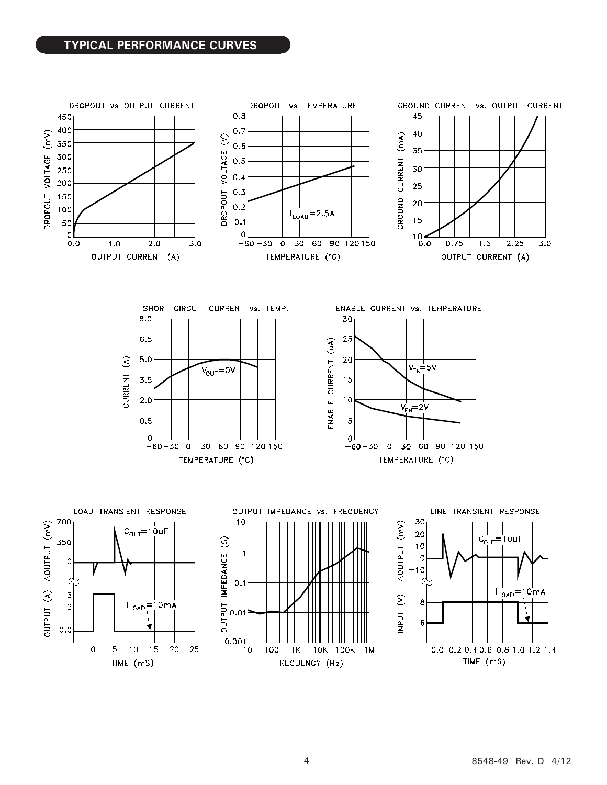# **TYPICAL PERFORMANCE CURVES**